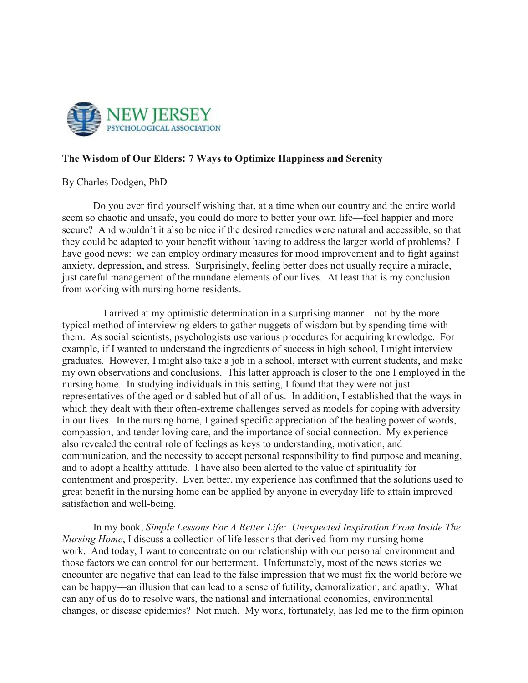

## **The Wisdom of Our Elders: 7 Ways to Optimize Happiness and Serenity**

## By Charles Dodgen, PhD

Do you ever find yourself wishing that, at a time when our country and the entire world seem so chaotic and unsafe, you could do more to better your own life—feel happier and more secure? And wouldn't it also be nice if the desired remedies were natural and accessible, so that they could be adapted to your benefit without having to address the larger world of problems? I have good news: we can employ ordinary measures for mood improvement and to fight against anxiety, depression, and stress. Surprisingly, feeling better does not usually require a miracle, just careful management of the mundane elements of our lives. At least that is my conclusion from working with nursing home residents.

I arrived at my optimistic determination in a surprising manner—not by the more typical method of interviewing elders to gather nuggets of wisdom but by spending time with them. As social scientists, psychologists use various procedures for acquiring knowledge. For example, if I wanted to understand the ingredients of success in high school, I might interview graduates. However, I might also take a job in a school, interact with current students, and make my own observations and conclusions. This latter approach is closer to the one I employed in the nursing home. In studying individuals in this setting, I found that they were not just representatives of the aged or disabled but of all of us. In addition, I established that the ways in which they dealt with their often-extreme challenges served as models for coping with adversity in our lives. In the nursing home, I gained specific appreciation of the healing power of words, compassion, and tender loving care, and the importance of social connection. My experience also revealed the central role of feelings as keys to understanding, motivation, and communication, and the necessity to accept personal responsibility to find purpose and meaning, and to adopt a healthy attitude. I have also been alerted to the value of spirituality for contentment and prosperity. Even better, my experience has confirmed that the solutions used to great benefit in the nursing home can be applied by anyone in everyday life to attain improved satisfaction and well-being.

 In my book, *Simple Lessons For A Better Life: Unexpected Inspiration From Inside The Nursing Home*, I discuss a collection of life lessons that derived from my nursing home work. And today, I want to concentrate on our relationship with our personal environment and those factors we can control for our betterment. Unfortunately, most of the news stories we encounter are negative that can lead to the false impression that we must fix the world before we can be happy—an illusion that can lead to a sense of futility, demoralization, and apathy. What can any of us do to resolve wars, the national and international economies, environmental changes, or disease epidemics? Not much. My work, fortunately, has led me to the firm opinion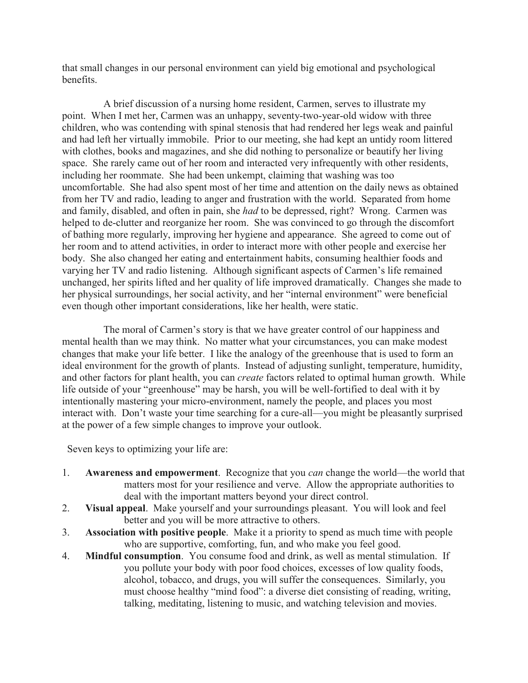that small changes in our personal environment can yield big emotional and psychological benefits.

A brief discussion of a nursing home resident, Carmen, serves to illustrate my point. When I met her, Carmen was an unhappy, seventy-two-year-old widow with three children, who was contending with spinal stenosis that had rendered her legs weak and painful and had left her virtually immobile. Prior to our meeting, she had kept an untidy room littered with clothes, books and magazines, and she did nothing to personalize or beautify her living space. She rarely came out of her room and interacted very infrequently with other residents, including her roommate. She had been unkempt, claiming that washing was too uncomfortable. She had also spent most of her time and attention on the daily news as obtained from her TV and radio, leading to anger and frustration with the world. Separated from home and family, disabled, and often in pain, she *had* to be depressed, right? Wrong. Carmen was helped to de-clutter and reorganize her room. She was convinced to go through the discomfort of bathing more regularly, improving her hygiene and appearance. She agreed to come out of her room and to attend activities, in order to interact more with other people and exercise her body. She also changed her eating and entertainment habits, consuming healthier foods and varying her TV and radio listening. Although significant aspects of Carmen's life remained unchanged, her spirits lifted and her quality of life improved dramatically. Changes she made to her physical surroundings, her social activity, and her "internal environment" were beneficial even though other important considerations, like her health, were static.

The moral of Carmen's story is that we have greater control of our happiness and mental health than we may think. No matter what your circumstances, you can make modest changes that make your life better. I like the analogy of the greenhouse that is used to form an ideal environment for the growth of plants. Instead of adjusting sunlight, temperature, humidity, and other factors for plant health, you can *create* factors related to optimal human growth. While life outside of your "greenhouse" may be harsh, you will be well-fortified to deal with it by intentionally mastering your micro-environment, namely the people, and places you most interact with. Don't waste your time searching for a cure-all—you might be pleasantly surprised at the power of a few simple changes to improve your outlook.

Seven keys to optimizing your life are:

- 1. **Awareness and empowerment**. Recognize that you *can* change the world—the world that matters most for your resilience and verve. Allow the appropriate authorities to deal with the important matters beyond your direct control.
- 2. **Visual appeal**. Make yourself and your surroundings pleasant. You will look and feel better and you will be more attractive to others.
- 3. **Association with positive people**. Make it a priority to spend as much time with people who are supportive, comforting, fun, and who make you feel good.
- 4. **Mindful consumption**. You consume food and drink, as well as mental stimulation. If you pollute your body with poor food choices, excesses of low quality foods, alcohol, tobacco, and drugs, you will suffer the consequences. Similarly, you must choose healthy "mind food": a diverse diet consisting of reading, writing, talking, meditating, listening to music, and watching television and movies.